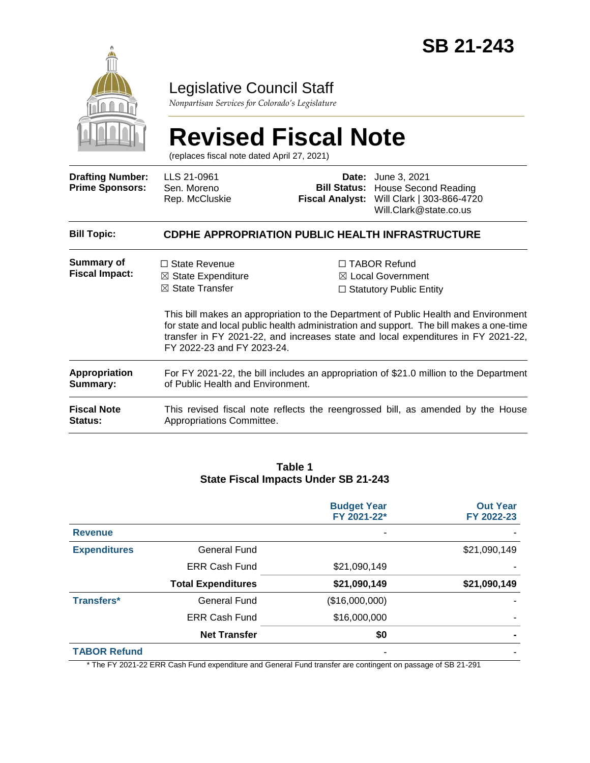

# Legislative Council Staff

*Nonpartisan Services for Colorado's Legislature*

# **Revised Fiscal Note**

(replaces fiscal note dated April 27, 2021)

| <b>Drafting Number:</b><br><b>Prime Sponsors:</b> | LLS 21-0961<br>Sen. Moreno<br>Rep. McCluskie                                                                                |  | <b>Date:</b> June 3, 2021<br><b>Bill Status: House Second Reading</b><br>Fiscal Analyst: Will Clark   303-866-4720<br>Will.Clark@state.co.us                                                                                                                                                                                                                 |  |
|---------------------------------------------------|-----------------------------------------------------------------------------------------------------------------------------|--|--------------------------------------------------------------------------------------------------------------------------------------------------------------------------------------------------------------------------------------------------------------------------------------------------------------------------------------------------------------|--|
| <b>Bill Topic:</b>                                | <b>CDPHE APPROPRIATION PUBLIC HEALTH INFRASTRUCTURE</b>                                                                     |  |                                                                                                                                                                                                                                                                                                                                                              |  |
| Summary of<br><b>Fiscal Impact:</b>               | $\Box$ State Revenue<br>$\boxtimes$ State Expenditure<br>$\boxtimes$ State Transfer<br>FY 2022-23 and FY 2023-24.           |  | $\Box$ TABOR Refund<br>$\boxtimes$ Local Government<br>$\Box$ Statutory Public Entity<br>This bill makes an appropriation to the Department of Public Health and Environment<br>for state and local public health administration and support. The bill makes a one-time<br>transfer in FY 2021-22, and increases state and local expenditures in FY 2021-22, |  |
| Appropriation<br>Summary:                         | For FY 2021-22, the bill includes an appropriation of \$21.0 million to the Department<br>of Public Health and Environment. |  |                                                                                                                                                                                                                                                                                                                                                              |  |
| <b>Fiscal Note</b><br><b>Status:</b>              | This revised fiscal note reflects the reengrossed bill, as amended by the House<br>Appropriations Committee.                |  |                                                                                                                                                                                                                                                                                                                                                              |  |

#### **Table 1 State Fiscal Impacts Under SB 21-243**

|                     |                           | <b>Budget Year</b><br>FY 2021-22* | <b>Out Year</b><br>FY 2022-23 |
|---------------------|---------------------------|-----------------------------------|-------------------------------|
| <b>Revenue</b>      |                           |                                   |                               |
| <b>Expenditures</b> | <b>General Fund</b>       |                                   | \$21,090,149                  |
|                     | <b>ERR Cash Fund</b>      | \$21,090,149                      |                               |
|                     | <b>Total Expenditures</b> | \$21,090,149                      | \$21,090,149                  |
| <b>Transfers*</b>   | <b>General Fund</b>       | (\$16,000,000)                    |                               |
|                     | <b>ERR Cash Fund</b>      | \$16,000,000                      |                               |
|                     | <b>Net Transfer</b>       | \$0                               |                               |
| <b>TABOR Refund</b> |                           |                                   |                               |

\* The FY 2021-22 ERR Cash Fund expenditure and General Fund transfer are contingent on passage of SB 21-291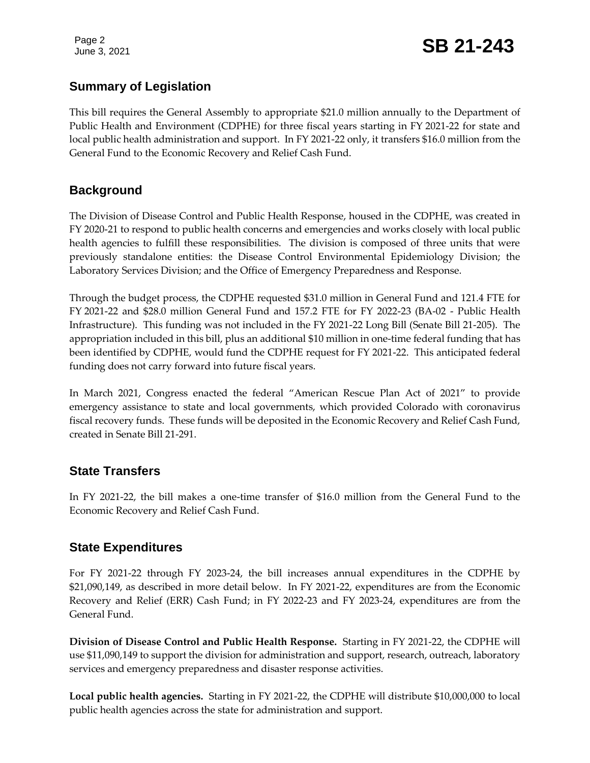# **Summary of Legislation**

This bill requires the General Assembly to appropriate \$21.0 million annually to the Department of Public Health and Environment (CDPHE) for three fiscal years starting in FY 2021-22 for state and local public health administration and support. In FY 2021-22 only, it transfers \$16.0 million from the General Fund to the Economic Recovery and Relief Cash Fund.

## **Background**

The Division of Disease Control and Public Health Response, housed in the CDPHE, was created in FY 2020-21 to respond to public health concerns and emergencies and works closely with local public health agencies to fulfill these responsibilities. The division is composed of three units that were previously standalone entities: the Disease Control Environmental Epidemiology Division; the Laboratory Services Division; and the Office of Emergency Preparedness and Response.

Through the budget process, the CDPHE requested \$31.0 million in General Fund and 121.4 FTE for FY 2021-22 and \$28.0 million General Fund and 157.2 FTE for FY 2022-23 (BA-02 - Public Health Infrastructure). This funding was not included in the FY 2021-22 Long Bill (Senate Bill 21-205). The appropriation included in this bill, plus an additional \$10 million in one-time federal funding that has been identified by CDPHE, would fund the CDPHE request for FY 2021-22. This anticipated federal funding does not carry forward into future fiscal years.

In March 2021, Congress enacted the federal "American Rescue Plan Act of 2021" to provide emergency assistance to state and local governments, which provided Colorado with coronavirus fiscal recovery funds. These funds will be deposited in the Economic Recovery and Relief Cash Fund, created in Senate Bill 21-291.

# **State Transfers**

In FY 2021-22, the bill makes a one-time transfer of \$16.0 million from the General Fund to the Economic Recovery and Relief Cash Fund.

#### **State Expenditures**

For FY 2021-22 through FY 2023-24, the bill increases annual expenditures in the CDPHE by \$21,090,149, as described in more detail below. In FY 2021-22, expenditures are from the Economic Recovery and Relief (ERR) Cash Fund; in FY 2022-23 and FY 2023-24, expenditures are from the General Fund.

**Division of Disease Control and Public Health Response.** Starting in FY 2021-22, the CDPHE will use \$11,090,149 to support the division for administration and support, research, outreach, laboratory services and emergency preparedness and disaster response activities.

**Local public health agencies.** Starting in FY 2021-22, the CDPHE will distribute \$10,000,000 to local public health agencies across the state for administration and support.